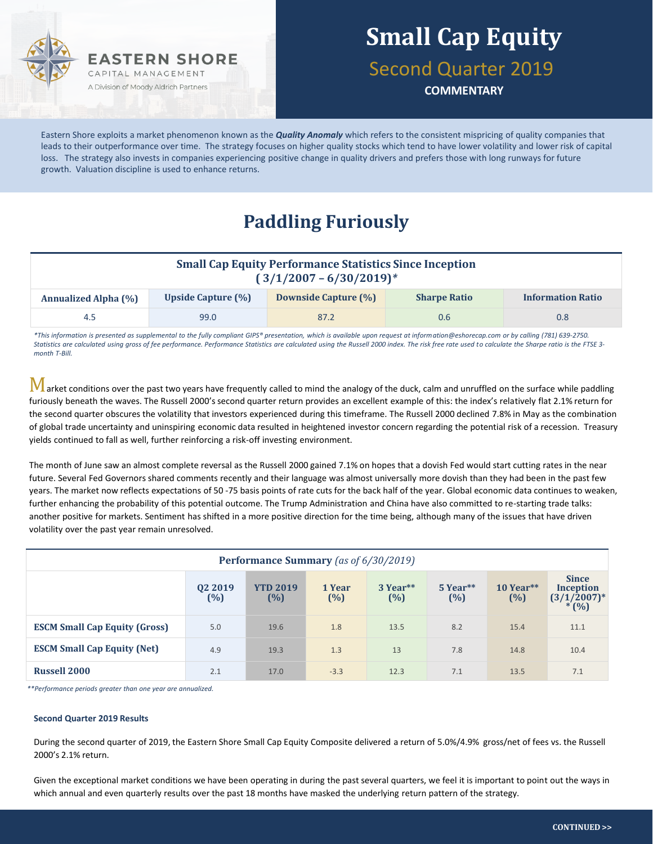

## **Small Cap Equity**

Second Quarter 2019

**COMMENTARY**

Eastern Shore exploits a market phenomenon known as the *Quality Anomaly* which refers to the consistent mispricing of quality companies that leads to their outperformance over time. The strategy focuses on higher quality stocks which tend to have lower volatility and lower risk of capital loss. The strategy also invests in companies experiencing positive change in quality drivers and prefers those with long runways for future growth. Valuation discipline is used to enhance returns.

### **Paddling Furiously**

| <b>Small Cap Equity Performance Statistics Since Inception</b><br>$(3/1/2007 - 6/30/2019)^*$ |                           |                             |                     |                          |  |  |  |  |
|----------------------------------------------------------------------------------------------|---------------------------|-----------------------------|---------------------|--------------------------|--|--|--|--|
| <b>Annualized Alpha (%)</b>                                                                  | <b>Upside Capture (%)</b> | <b>Downside Capture (%)</b> | <b>Sharpe Ratio</b> | <b>Information Ratio</b> |  |  |  |  |
| 4.5                                                                                          | 99.0                      | 87.2                        | 0.6                 | 0.8                      |  |  |  |  |

*\*This information is presented as supplemental to the fully compliant GIPS® presentation, which is available upon request at information@eshorecap.com or by calling (781) 639-2750. Statistics are calculated using gross of fee performance. Performance Statistics are calculated using the Russell 2000 index. The risk free rate used to calculate the Sharpe ratio is the FTSE 3 month T-Bill.*

 $M$  arket conditions over the past two years have frequently called to mind the analogy of the duck, calm and unruffled on the surface while paddling furiously beneath the waves. The Russell 2000's second quarter return provides an excellent example of this: the index's relatively flat 2.1% return for the second quarter obscures the volatility that investors experienced during this timeframe. The Russell 2000 declined 7.8% in May as the combination of global trade uncertainty and uninspiring economic data resulted in heightened investor concern regarding the potential risk of a recession. Treasury yields continued to fall as well, further reinforcing a risk-off investing environment.

The month of June saw an almost complete reversal as the Russell 2000 gained 7.1% on hopes that a dovish Fed would start cutting rates in the near future. Several Fed Governors shared comments recently and their language was almost universally more dovish than they had been in the past few years. The market now reflects expectations of 50 -75 basis points of rate cuts for the back half of the year. Global economic data continues to weaken, further enhancing the probability of this potential outcome. The Trump Administration and China have also committed to re-starting trade talks: another positive for markets. Sentiment has shifted in a more positive direction for the time being, although many of the issues that have driven volatility over the past year remain unresolved.

| Performance Summary (as of 6/30/2019) |                |                        |                  |                    |                    |                    |                                                           |  |  |
|---------------------------------------|----------------|------------------------|------------------|--------------------|--------------------|--------------------|-----------------------------------------------------------|--|--|
|                                       | Q2 2019<br>(%) | <b>YTD 2019</b><br>(%) | 1 Year<br>$(\%)$ | 3 Year**<br>$(\%)$ | 5 Year**<br>$(\%)$ | $10$ Year**<br>(%) | <b>Since</b><br><b>Inception</b><br>$(3/1/2007)^*$<br>(%) |  |  |
| <b>ESCM Small Cap Equity (Gross)</b>  | 5.0            | 19.6                   | 1.8              | 13.5               | 8.2                | 15.4               | 11.1                                                      |  |  |
| <b>ESCM Small Cap Equity (Net)</b>    | 4.9            | 19.3                   | 1.3              | 13                 | 7.8                | 14.8               | 10.4                                                      |  |  |
| <b>Russell 2000</b>                   | 2.1            | 17.0                   | $-3.3$           | 12.3               | 7.1                | 13.5               | 7.1                                                       |  |  |

*\*\*Performance periods greater than one year are annualized.*

#### **Second Quarter 2019 Results**

During the second quarter of 2019, the Eastern Shore Small Cap Equity Composite delivered a return of 5.0%/4.9% gross/net of fees vs. the Russell 2000's 2.1% return.

Given the exceptional market conditions we have been operating in during the past several quarters, we feel it is important to point out the ways in which annual and even quarterly results over the past 18 months have masked the underlying return pattern of the strategy.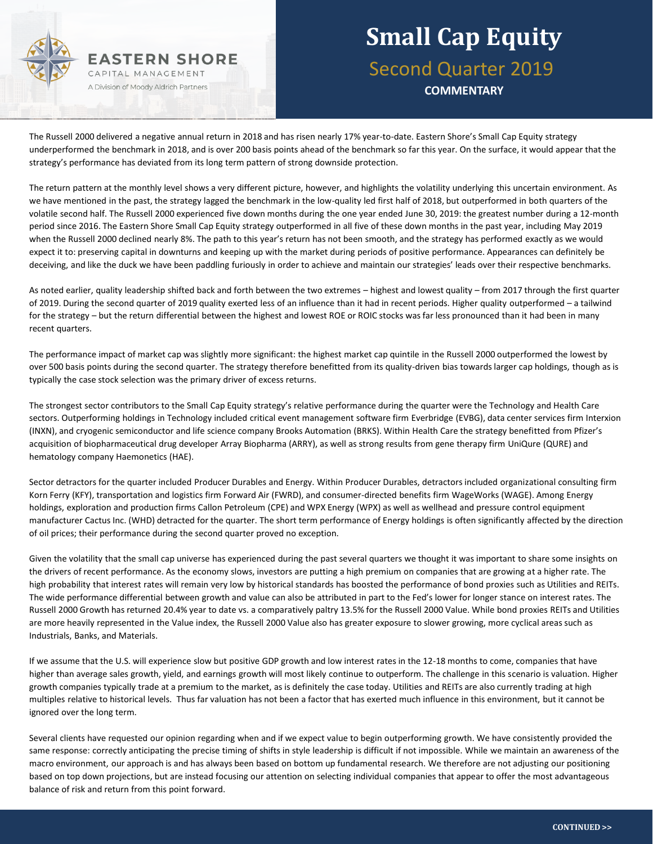

## **Small Cap Equity** Second Quarter 2019 **COMMENTARY**

The Russell 2000 delivered a negative annual return in 2018 and has risen nearly 17% year-to-date. Eastern Shore's Small Cap Equity strategy underperformed the benchmark in 2018, and is over 200 basis points ahead of the benchmark so far this year. On the surface, it would appear that the strategy's performance has deviated from its long term pattern of strong downside protection.

The return pattern at the monthly level shows a very different picture, however, and highlights the volatility underlying this uncertain environment. As we have mentioned in the past, the strategy lagged the benchmark in the low-quality led first half of 2018, but outperformed in both quarters of the volatile second half. The Russell 2000 experienced five down months during the one year ended June 30, 2019: the greatest number during a 12-month period since 2016. The Eastern Shore Small Cap Equity strategy outperformed in all five of these down months in the past year, including May 2019 when the Russell 2000 declined nearly 8%. The path to this year's return has not been smooth, and the strategy has performed exactly as we would expect it to: preserving capital in downturns and keeping up with the market during periods of positive performance. Appearances can definitely be deceiving, and like the duck we have been paddling furiously in order to achieve and maintain our strategies' leads over their respective benchmarks.

As noted earlier, quality leadership shifted back and forth between the two extremes – highest and lowest quality – from 2017 through the first quarter of 2019. During the second quarter of 2019 quality exerted less of an influence than it had in recent periods. Higher quality outperformed – a tailwind for the strategy – but the return differential between the highest and lowest ROE or ROIC stocks was far less pronounced than it had been in many recent quarters.

The performance impact of market cap was slightly more significant: the highest market cap quintile in the Russell 2000 outperformed the lowest by over 500 basis points during the second quarter. The strategy therefore benefitted from its quality-driven bias towards larger cap holdings, though as is typically the case stock selection was the primary driver of excess returns.

The strongest sector contributors to the Small Cap Equity strategy's relative performance during the quarter were the Technology and Health Care sectors. Outperforming holdings in Technology included critical event management software firm Everbridge (EVBG), data center services firm Interxion (INXN), and cryogenic semiconductor and life science company Brooks Automation (BRKS). Within Health Care the strategy benefitted from Pfizer's acquisition of biopharmaceutical drug developer Array Biopharma (ARRY), as well as strong results from gene therapy firm UniQure (QURE) and hematology company Haemonetics (HAE).

Sector detractors for the quarter included Producer Durables and Energy. Within Producer Durables, detractors included organizational consulting firm Korn Ferry (KFY), transportation and logistics firm Forward Air (FWRD), and consumer-directed benefits firm WageWorks (WAGE). Among Energy holdings, exploration and production firms Callon Petroleum (CPE) and WPX Energy (WPX) as well as wellhead and pressure control equipment manufacturer Cactus Inc. (WHD) detracted for the quarter. The short term performance of Energy holdings is often significantly affected by the direction of oil prices; their performance during the second quarter proved no exception.

Given the volatility that the small cap universe has experienced during the past several quarters we thought it was important to share some insights on the drivers of recent performance. As the economy slows, investors are putting a high premium on companies that are growing at a higher rate. The high probability that interest rates will remain very low by historical standards has boosted the performance of bond proxies such as Utilities and REITs. The wide performance differential between growth and value can also be attributed in part to the Fed's lower for longer stance on interest rates. The Russell 2000 Growth has returned 20.4% year to date vs. a comparatively paltry 13.5% for the Russell 2000 Value. While bond proxies REITs and Utilities are more heavily represented in the Value index, the Russell 2000 Value also has greater exposure to slower growing, more cyclical areas such as Industrials, Banks, and Materials.

If we assume that the U.S. will experience slow but positive GDP growth and low interest rates in the 12-18 months to come, companies that have higher than average sales growth, yield, and earnings growth will most likely continue to outperform. The challenge in this scenario is valuation. Higher growth companies typically trade at a premium to the market, as is definitely the case today. Utilities and REITs are also currently trading at high multiples relative to historical levels. Thus far valuation has not been a factor that has exerted much influence in this environment, but it cannot be ignored over the long term.

Several clients have requested our opinion regarding when and if we expect value to begin outperforming growth. We have consistently provided the same response: correctly anticipating the precise timing of shifts in style leadership is difficult if not impossible. While we maintain an awareness of the macro environment, our approach is and has always been based on bottom up fundamental research. We therefore are not adjusting our positioning based on top down projections, but are instead focusing our attention on selecting individual companies that appear to offer the most advantageous balance of risk and return from this point forward.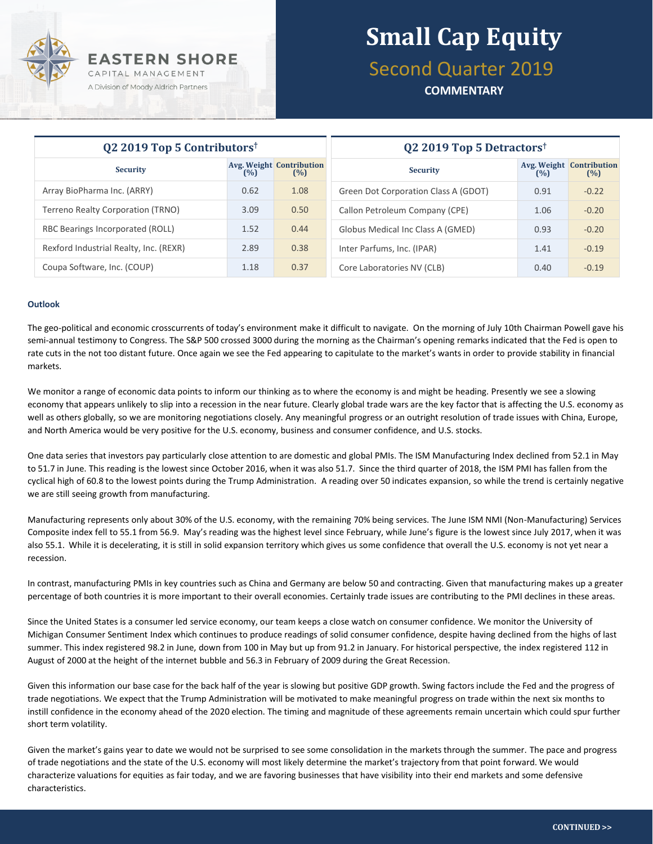

## **Small Cap Equity** Second Quarter 2019

**COMMENTARY**

| Q2 2019 Top 5 Contributors <sup>†</sup> |      |                                        | Q2 2019 Top 5 Detractors <sup>†</sup> |      |                                        |  |
|-----------------------------------------|------|----------------------------------------|---------------------------------------|------|----------------------------------------|--|
| <b>Security</b>                         | (%)  | <b>Avg. Weight Contribution</b><br>(%) | <b>Security</b>                       | (%)  | <b>Avg. Weight Contribution</b><br>(%) |  |
| Array BioPharma Inc. (ARRY)             | 0.62 | 1.08                                   | Green Dot Corporation Class A (GDOT)  | 0.91 | $-0.22$                                |  |
| Terreno Realty Corporation (TRNO)       | 3.09 | 0.50                                   | Callon Petroleum Company (CPE)        | 1.06 | $-0.20$                                |  |
| RBC Bearings Incorporated (ROLL)        | 1.52 | 0.44                                   | Globus Medical Inc Class A (GMED)     | 0.93 | $-0.20$                                |  |
| Rexford Industrial Realty, Inc. (REXR)  | 2.89 | 0.38                                   | Inter Parfums, Inc. (IPAR)            | 1.41 | $-0.19$                                |  |
| Coupa Software, Inc. (COUP)             | 1.18 | 0.37                                   | Core Laboratories NV (CLB)            | 0.40 | $-0.19$                                |  |

#### **Outlook**

The geo-political and economic crosscurrents of today's environment make it difficult to navigate. On the morning of July 10th Chairman Powell gave his semi-annual testimony to Congress. The S&P 500 crossed 3000 during the morning as the Chairman's opening remarks indicated that the Fed is open to rate cuts in the not too distant future. Once again we see the Fed appearing to capitulate to the market's wants in order to provide stability in financial markets.

We monitor a range of economic data points to inform our thinking as to where the economy is and might be heading. Presently we see a slowing economy that appears unlikely to slip into a recession in the near future. Clearly global trade wars are the key factor that is affecting the U.S. economy as well as others globally, so we are monitoring negotiations closely. Any meaningful progress or an outright resolution of trade issues with China, Europe, and North America would be very positive for the U.S. economy, business and consumer confidence, and U.S. stocks.

One data series that investors pay particularly close attention to are domestic and global PMIs. The ISM Manufacturing Index declined from 52.1 in May to 51.7 in June. This reading is the lowest since October 2016, when it was also 51.7. Since the third quarter of 2018, the ISM PMI has fallen from the cyclical high of 60.8 to the lowest points during the Trump Administration. A reading over 50 indicates expansion, so while the trend is certainly negative we are still seeing growth from manufacturing.

Manufacturing represents only about 30% of the U.S. economy, with the remaining 70% being services. The June ISM NMI (Non-Manufacturing) Services Composite index fell to 55.1 from 56.9. May's reading was the highest level since February, while June's figure is the lowest since July 2017, when it was also 55.1. While it is decelerating, it is still in solid expansion territory which gives us some confidence that overall the U.S. economy is not yet near a recession.

In contrast, manufacturing PMIs in key countries such as China and Germany are below 50 and contracting. Given that manufacturing makes up a greater percentage of both countries it is more important to their overall economies. Certainly trade issues are contributing to the PMI declines in these areas.

Since the United States is a consumer led service economy, our team keeps a close watch on consumer confidence. We monitor the University of Michigan Consumer Sentiment Index which continues to produce readings of solid consumer confidence, despite having declined from the highs of last summer. This index registered 98.2 in June, down from 100 in May but up from 91.2 in January. For historical perspective, the index registered 112 in August of 2000 at the height of the internet bubble and 56.3 in February of 2009 during the Great Recession.

Given this information our base case for the back half of the year is slowing but positive GDP growth. Swing factors include the Fed and the progress of trade negotiations. We expect that the Trump Administration will be motivated to make meaningful progress on trade within the next six months to instill confidence in the economy ahead of the 2020 election. The timing and magnitude of these agreements remain uncertain which could spur further short term volatility.

Given the market's gains year to date we would not be surprised to see some consolidation in the markets through the summer. The pace and progress of trade negotiations and the state of the U.S. economy will most likely determine the market's trajectory from that point forward. We would characterize valuations for equities as fair today, and we are favoring businesses that have visibility into their end markets and some defensive characteristics.